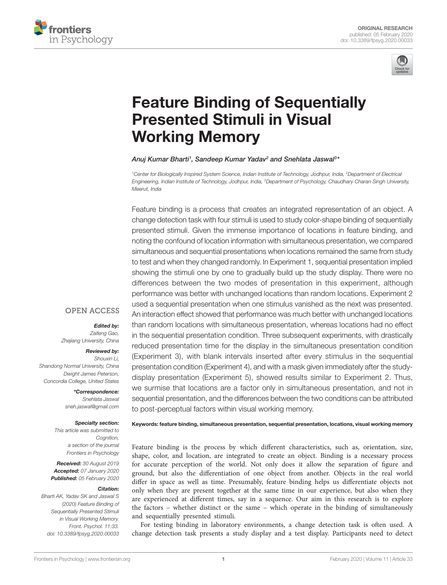



# Feature Binding of Sequentially Presented Stimuli in Visual Working Memory

#### Anuj Kumar Bharti<sup>1</sup>, Sandeep Kumar Yadav<sup>2</sup> and Snehlata Jaswal<sup>3</sup>\*

<sup>1</sup>Center for Biologically Inspired System Science, Indian Institute of Technology, Jodhpur, India, <sup>2</sup>Department of Electrical Engineering, Indian Institute of Technology, Jodhpur, India, <sup>3</sup>Department of Psychology, Chaudhary Charan Singh University, Meerut, India

Feature binding is a process that creates an integrated representation of an object. A change detection task with four stimuli is used to study color-shape binding of sequentially presented stimuli. Given the immense importance of locations in feature binding, and noting the confound of location information with simultaneous presentation, we compared simultaneous and sequential presentations when locations remained the same from study to test and when they changed randomly. In Experiment 1, sequential presentation implied showing the stimuli one by one to gradually build up the study display. There were no differences between the two modes of presentation in this experiment, although performance was better with unchanged locations than random locations. Experiment 2 used a sequential presentation when one stimulus vanished as the next was presented. An interaction effect showed that performance was much better with unchanged locations than random locations with simultaneous presentation, whereas locations had no effect in the sequential presentation condition. Three subsequent experiments, with drastically reduced presentation time for the display in the simultaneous presentation condition (Experiment 3), with blank intervals inserted after every stimulus in the sequential presentation condition (Experiment 4), and with a mask given immediately after the studydisplay presentation (Experiment 5), showed results similar to Experiment 2. Thus, we surmise that locations are a factor only in simultaneous presentation, and not in sequential presentation, and the differences between the two conditions can be attributed to post-perceptual factors within visual working memory.

# **OPEN ACCESS**

#### Edited by:

Zaifeng Gao, Zhejiang University, China

#### Reviewed by:

Shouxin Li, Shandong Normal University, China Dwight James Peterson, Concordia College, United States

> \*Correspondence: Snehlata Jaswal sneh.jaswal@gmail.com

#### Specialty section:

This article was submitted to Cognition, a section of the journal Frontiers in Psychology

Received: 30 August 2019 Accepted: 07 January 2020 Published: 05 February 2020

#### Citation:

Bharti AK, Yadav SK and Jaswal S (2020) Feature Binding of Sequentially Presented Stimuli in Visual Working Memory. Front. Psychol. 11:33. doi: 10.3389/fpsyg.2020.00033 Keywords: feature binding, simultaneous presentation, sequential presentation, locations, visual working memory

Feature binding is the process by which different characteristics, such as, orientation, size, shape, color, and location, are integrated to create an object. Binding is a necessary process for accurate perception of the world. Not only does it allow the separation of figure and ground, but also the differentiation of one object from another. Objects in the real world differ in space as well as time. Presumably, feature binding helps us differentiate objects not only when they are present together at the same time in our experience, but also when they are experienced at different times, say in a sequence. Our aim in this research is to explore the factors – whether distinct or the same – which operate in the binding of simultaneously and sequentially presented stimuli.

For testing binding in laboratory environments, a change detection task is often used. A change detection task presents a study display and a test display. Participants need to detect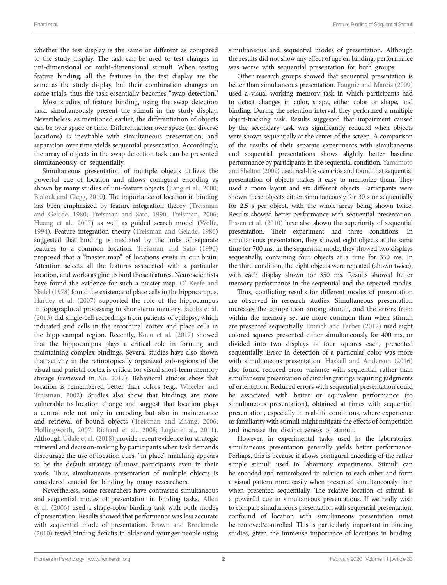whether the test display is the same or different as compared to the study display. The task can be used to test changes in uni-dimensional or multi-dimensional stimuli. When testing feature binding, all the features in the test display are the same as the study display, but their combination changes on some trials, thus the task essentially becomes "swap detection."

Most studies of feature binding, using the swap detection task, simultaneously present the stimuli in the study display. Nevertheless, as mentioned earlier, the differentiation of objects can be over space or time. Differentiation over space (on diverse locations) is inevitable with simultaneous presentation, and separation over time yields sequential presentation. Accordingly, the array of objects in the swap detection task can be presented simultaneously or sequentially.

Simultaneous presentation of multiple objects utilizes the powerful cue of location and allows configural encoding as shown by many studies of uni-feature objects (Jiang et al., 2000; Blalock and Clegg, 2010). The importance of location in binding has been emphasized by feature integration theory (Treisman and Gelade, 1980; Treisman and Sato, 1990; Treisman, 2006; Huang et al., 2007) as well as guided search model (Wolfe, 1994). Feature integration theory (Treisman and Gelade, 1980) suggested that binding is mediated by the links of separate features to a common location. Treisman and Sato (1990) proposed that a "master map" of locations exists in our brain. Attention selects all the features associated with a particular location, and works as glue to bind those features. Neuroscientists have found the evidence for such a master map. O' Keefe and Nadel (1978) found the existence of place cells in the hippocampus. Hartley et al. (2007) supported the role of the hippocampus in topographical processing in short-term memory. Jacobs et al. (2013) did single-cell recordings from patients of epilepsy, which indicated grid cells in the entorhinal cortex and place cells in the hippocampal region. Recently, Koen et al. (2017) showed that the hippocampus plays a critical role in forming and maintaining complex bindings. Several studies have also shown that activity in the retinotopically organized sub-regions of the visual and parietal cortex is critical for visual short-term memory storage (reviewed in Xu, 2017). Behavioral studies show that location is remembered better than colors (e.g., Wheeler and Treisman, 2002). Studies also show that bindings are more vulnerable to location change and suggest that location plays a central role not only in encoding but also in maintenance and retrieval of bound objects (Treisman and Zhang, 2006; Hollingworth, 2007; Richard et al., 2008; Logie et al., 2011). Although Udale et al. (2018) provide recent evidence for strategic retrieval and decision-making by participants when task demands discourage the use of location cues, "in place" matching appears to be the default strategy of most participants even in their work. Thus, simultaneous presentation of multiple objects is considered crucial for binding by many researchers.

Nevertheless, some researchers have contrasted simultaneous and sequential modes of presentation in binding tasks. Allen et al. (2006) used a shape-color binding task with both modes of presentation. Results showed that performance was less accurate with sequential mode of presentation. Brown and Brockmole (2010) tested binding deficits in older and younger people using simultaneous and sequential modes of presentation. Although the results did not show any effect of age on binding, performance was worse with sequential presentation for both groups.

Other research groups showed that sequential presentation is better than simultaneous presentation. Fougnie and Marois (2009) used a visual working memory task in which participants had to detect changes in color, shape, either color or shape, and binding. During the retention interval, they performed a multiple object-tracking task. Results suggested that impairment caused by the secondary task was significantly reduced when objects were shown sequentially at the center of the screen. A comparison of the results of their separate experiments with simultaneous and sequential presentations shows slightly better baseline performance by participants in the sequential condition. Yamamoto and Shelton (2009) used real-life scenarios and found that sequential presentation of objects makes it easy to memorize them. They used a room layout and six different objects. Participants were shown these objects either simultaneously for 30 s or sequentially for 2.5 s per object, with the whole array being shown twice. Results showed better performance with sequential presentation. Ihssen et al. (2010) have also shown the superiority of sequential presentation. Their experiment had three conditions. In simultaneous presentation, they showed eight objects at the same time for 700 ms. In the sequential mode, they showed two displays sequentially, containing four objects at a time for 350 ms. In the third condition, the eight objects were repeated (shown twice), with each display shown for 350 ms. Results showed better memory performance in the sequential and the repeated modes.

Thus, conflicting results for different modes of presentation are observed in research studies. Simultaneous presentation increases the competition among stimuli, and the errors from within the memory set are more common than when stimuli are presented sequentially. Emrich and Ferber (2012) used eight colored squares presented either simultaneously for 400 ms, or divided into two displays of four squares each, presented sequentially. Error in detection of a particular color was more with simultaneous presentation. Haskell and Anderson (2016) also found reduced error variance with sequential rather than simultaneous presentation of circular gratings requiring judgments of orientation. Reduced errors with sequential presentation could be associated with better or equivalent performance (to simultaneous presentation), obtained at times with sequential presentation, especially in real-life conditions, where experience or familiarity with stimuli might mitigate the effects of competition and increase the distinctiveness of stimuli.

However, in experimental tasks used in the laboratories, simultaneous presentation generally yields better performance. Perhaps, this is because it allows configural encoding of the rather simple stimuli used in laboratory experiments. Stimuli can be encoded and remembered in relation to each other and form a visual pattern more easily when presented simultaneously than when presented sequentially. The relative location of stimuli is a powerful cue in simultaneous presentations. If we really wish to compare simultaneous presentation with sequential presentation, confound of location with simultaneous presentation must be removed/controlled. This is particularly important in binding studies, given the immense importance of locations in binding.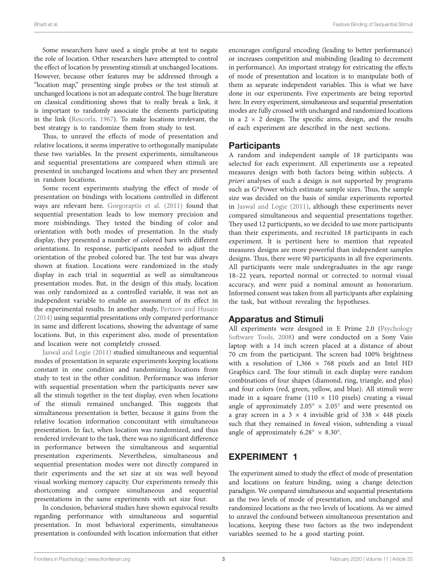Some researchers have used a single probe at test to negate the role of location. Other researchers have attempted to control the effect of location by presenting stimuli at unchanged locations. However, because other features may be addressed through a "location map," presenting single probes or the test stimuli at unchanged locations is not an adequate control. The huge literature on classical conditioning shows that to really break a link, it is important to randomly associate the elements participating in the link (Rescorla, 1967). To make locations irrelevant, the best strategy is to randomize them from study to test.

Thus, to unravel the effects of mode of presentation and relative locations, it seems imperative to orthogonally manipulate these two variables. In the present experiments, simultaneous and sequential presentations are compared when stimuli are presented in unchanged locations and when they are presented in random locations.

Some recent experiments studying the effect of mode of presentation on bindings with locations controlled in different ways are relevant here. Gorgoraptis et al. (2011) found that sequential presentation leads to low memory precision and more misbindings. They tested the binding of color and orientation with both modes of presentation. In the study display, they presented a number of colored bars with different orientations. In response, participants needed to adjust the orientation of the probed colored bar. The test bar was always shown at fixation. Locations were randomized in the study display in each trial in sequential as well as simultaneous presentation modes. But, in the design of this study, location was only randomized as a controlled variable, it was not an independent variable to enable an assessment of its effect in the experimental results. In another study, Pertzov and Husain (2014) using sequential presentations only compared performance in same and different locations, showing the advantage of same locations. But, in this experiment also, mode of presentation and location were not completely crossed.

Jaswal and Logie (2011) studied simultaneous and sequential modes of presentation in separate experiments keeping locations constant in one condition and randomizing locations from study to test in the other condition. Performance was inferior with sequential presentation when the participants never saw all the stimuli together in the test display, even when locations of the stimuli remained unchanged. This suggests that simultaneous presentation is better, because it gains from the relative location information concomitant with simultaneous presentation. In fact, when location was randomized, and thus rendered irrelevant to the task, there was no significant difference in performance between the simultaneous and sequential presentation experiments. Nevertheless, simultaneous and sequential presentation modes were not directly compared in their experiments and the set size at six was well beyond visual working memory capacity. Our experiments remedy this shortcoming and compare simultaneous and sequential presentations in the same experiments with set size four.

In conclusion, behavioral studies have shown equivocal results regarding performance with simultaneous and sequential presentation. In most behavioral experiments, simultaneous presentation is confounded with location information that either

encourages configural encoding (leading to better performance) or increases competition and misbinding (leading to decrement in performance). An important strategy for extricating the effects of mode of presentation and location is to manipulate both of them as separate independent variables. This is what we have done in our experiments. Five experiments are being reported here. In every experiment, simultaneous and sequential presentation modes are fully crossed with unchanged and randomized locations in a  $2 \times 2$  design. The specific aims, design, and the results of each experiment are described in the next sections.

#### **Participants**

A random and independent sample of 18 participants was selected for each experiment. All experiments use a repeated measures design with both factors being within subjects. A priori analyses of such a design is not supported by programs such as G\*Power which estimate sample sizes. Thus, the sample size was decided on the basis of similar experiments reported in Jaswal and Logie (2011), although these experiments never compared simultaneous and sequential presentations together. They used 12 participants, so we decided to use more participants than their experiments, and recruited 18 participants in each experiment. It is pertinent here to mention that repeated measures designs are more powerful than independent samples designs. Thus, there were 90 participants in all five experiments. All participants were male undergraduates in the age range 18–22 years, reported normal or corrected to normal visual accuracy, and were paid a nominal amount as honorarium. Informed consent was taken from all participants after explaining the task, but without revealing the hypotheses.

## Apparatus and Stimuli

All experiments were designed in E Prime 2.0 (Psychology Software Tools, 2008) and were conducted on a Sony Vaio laptop with a 14 inch screen placed at a distance of about 70 cm from the participant. The screen had 100% brightness with a resolution of  $1,366 \times 768$  pixels and an Intel HD Graphics card. The four stimuli in each display were random combinations of four shapes (diamond, ring, triangle, and plus) and four colors (red, green, yellow, and blue). All stimuli were made in a square frame  $(110 \times 110)$  pixels) creating a visual angle of approximately  $2.05^{\circ} \times 2.05^{\circ}$  and were presented on a gray screen in a  $3 \times 4$  invisible grid of  $338 \times 448$  pixels such that they remained in foveal vision, subtending a visual angle of approximately  $6.28^{\circ} \times 8.30^{\circ}$ .

# EXPERIMENT 1

The experiment aimed to study the effect of mode of presentation and locations on feature binding, using a change detection paradigm. We compared simultaneous and sequential presentations as the two levels of mode of presentation, and unchanged and randomized locations as the two levels of locations. As we aimed to unravel the confound between simultaneous presentation and locations, keeping these two factors as the two independent variables seemed to be a good starting point.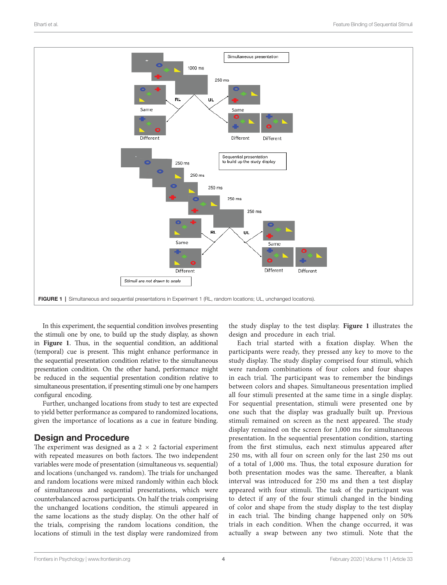

In this experiment, the sequential condition involves presenting the stimuli one by one, to build up the study display, as shown in **Figure 1**. Thus, in the sequential condition, an additional (temporal) cue is present. This might enhance performance in the sequential presentation condition relative to the simultaneous presentation condition. On the other hand, performance might be reduced in the sequential presentation condition relative to simultaneous presentation, if presenting stimuli one by one hampers configural encoding.

Further, unchanged locations from study to test are expected to yield better performance as compared to randomized locations, given the importance of locations as a cue in feature binding.

## Design and Procedure

The experiment was designed as a  $2 \times 2$  factorial experiment with repeated measures on both factors. The two independent variables were mode of presentation (simultaneous vs. sequential) and locations (unchanged vs. random). The trials for unchanged and random locations were mixed randomly within each block of simultaneous and sequential presentations, which were counterbalanced across participants. On half the trials comprising the unchanged locations condition, the stimuli appeared in the same locations as the study display. On the other half of the trials, comprising the random locations condition, the locations of stimuli in the test display were randomized from

the study display to the test display. **Figure 1** illustrates the design and procedure in each trial.

Each trial started with a fixation display. When the participants were ready, they pressed any key to move to the study display. The study display comprised four stimuli, which were random combinations of four colors and four shapes in each trial. The participant was to remember the bindings between colors and shapes. Simultaneous presentation implied all four stimuli presented at the same time in a single display. For sequential presentation, stimuli were presented one by one such that the display was gradually built up. Previous stimuli remained on screen as the next appeared. The study display remained on the screen for 1,000 ms for simultaneous presentation. In the sequential presentation condition, starting from the first stimulus, each next stimulus appeared after 250 ms, with all four on screen only for the last 250 ms out of a total of 1,000 ms. Thus, the total exposure duration for both presentation modes was the same. Thereafter, a blank interval was introduced for 250 ms and then a test display appeared with four stimuli. The task of the participant was to detect if any of the four stimuli changed in the binding of color and shape from the study display to the test display in each trial. The binding change happened only on 50% trials in each condition. When the change occurred, it was actually a swap between any two stimuli. Note that the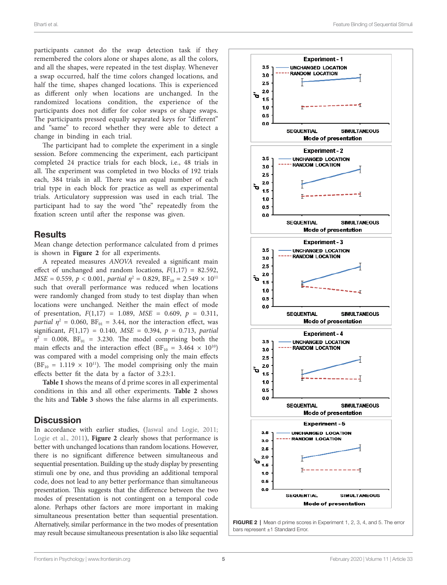participants cannot do the swap detection task if they remembered the colors alone or shapes alone, as all the colors, and all the shapes, were repeated in the test display. Whenever a swap occurred, half the time colors changed locations, and half the time, shapes changed locations. This is experienced as different only when locations are unchanged. In the randomized locations condition, the experience of the participants does not differ for color swaps or shape swaps. The participants pressed equally separated keys for "different" and "same" to record whether they were able to detect a change in binding in each trial.

The participant had to complete the experiment in a single session. Before commencing the experiment, each participant completed 24 practice trials for each block, i.e., 48 trials in all. The experiment was completed in two blocks of 192 trials each, 384 trials in all. There was an equal number of each trial type in each block for practice as well as experimental trials. Articulatory suppression was used in each trial. The participant had to say the word "the" repeatedly from the fixation screen until after the response was given.

#### Results

Mean change detection performance calculated from d primes is shown in **Figure 2** for all experiments.

A repeated measures ANOVA revealed a significant main effect of unchanged and random locations,  $F(1,17) = 82.592$ ,  $MSE = 0.559$ ,  $p < 0.001$ , partial  $\eta^2 = 0.829$ ,  $BF_{10} = 2.549 \times 10^{11}$ such that overall performance was reduced when locations were randomly changed from study to test display than when locations were unchanged. Neither the main effect of mode of presentation,  $F(1,17) = 1.089$ ,  $MSE = 0.609$ ,  $p = 0.311$ , *partial*  $\eta^2 = 0.060$ ,  $BF_{01} = 3.44$ , nor the interaction effect, was significant,  $F(1,17) = 0.140$ ,  $MSE = 0.394$ ,  $p = 0.713$ , partial  $\eta^2$  = 0.008, BF<sub>01</sub> = 3.230. The model comprising both the main effects and the interaction effect (BF<sub>10</sub> = 3.464  $\times$  10<sup>10</sup>) was compared with a model comprising only the main effects  $(BF_{10} = 1.119 \times 10^{11})$ . The model comprising only the main effects better fit the data by a factor of 3.23:1.

**Table 1** shows the means of d prime scores in all experimental conditions in this and all other experiments. **Table 2** shows the hits and **Table 3** shows the false alarms in all experiments.

#### **Discussion**

In accordance with earlier studies, (Jaswal and Logie, 2011; Logie et al., 2011), **Figure 2** clearly shows that performance is better with unchanged locations than random locations. However, there is no significant difference between simultaneous and sequential presentation. Building up the study display by presenting stimuli one by one, and thus providing an additional temporal code, does not lead to any better performance than simultaneous presentation. This suggests that the difference between the two modes of presentation is not contingent on a temporal code alone. Perhaps other factors are more important in making simultaneous presentation better than sequential presentation. Alternatively, similar performance in the two modes of presentation may result because simultaneous presentation is also like sequential



 $3.5$ 

 $3.0$ っち  $2.0$ Ď  $1.5$  $1.0$  $0.5$  $0.0$ 

 $3.5$ 

 $3.0$ 25  $2.0$ Ġ  $1.5$  $1.0$ 0.5 n n



FIGURE 2 | Mean d prime scores in Experiment 1, 2, 3, 4, and 5. The error bars represent ±1 Standard Error.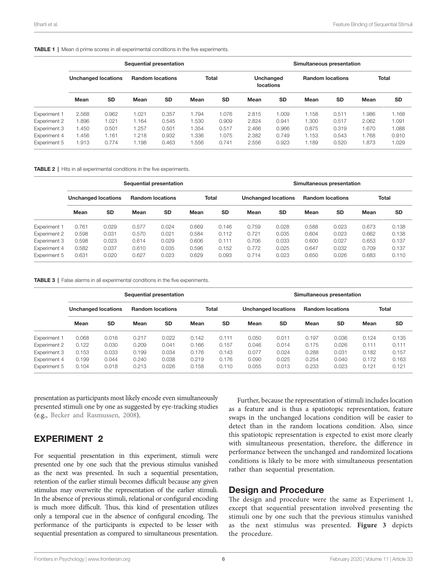#### **TABLE 1** | Mean d prime scores in all experimental conditions in the five experiments.

|              | Sequential presentation    |           |                         |           |              |           |                               | Simultaneous presentation |                         |           |              |           |  |  |
|--------------|----------------------------|-----------|-------------------------|-----------|--------------|-----------|-------------------------------|---------------------------|-------------------------|-----------|--------------|-----------|--|--|
|              | <b>Unchanged locations</b> |           | <b>Random locations</b> |           | <b>Total</b> |           | <b>Unchanged</b><br>locations |                           | <b>Random locations</b> |           | <b>Total</b> |           |  |  |
|              | Mean                       | <b>SD</b> | Mean                    | <b>SD</b> | Mean         | <b>SD</b> | Mean                          | <b>SD</b>                 | Mean                    | <b>SD</b> | Mean         | <b>SD</b> |  |  |
| Experiment 1 | 2.568                      | 0.962     | 1.021                   | 0.357     | 1.794        | 1.076     | 2.815                         | 1.009                     | 1.158                   | 0.511     | 1.986        | 1.168     |  |  |
| Experiment 2 | 1.896                      | 1.021     | 1.164                   | 0.545     | 1.530        | 0.909     | 2.824                         | 0.941                     | 1.300                   | 0.517     | 2.062        | 1.091     |  |  |
| Experiment 3 | 1.450                      | 0.501     | 1.257                   | 0.501     | 1.354        | 0.517     | 2.466                         | 0.966                     | 0.875                   | 0.319     | 1.670        | 1.088     |  |  |
| Experiment 4 | 1.456                      | 1.161     | 1.218                   | 0.932     | 1.336        | 1.075     | 2.382                         | 0.749                     | 1.153                   | 0.543     | 1.768        | 0.910     |  |  |
| Experiment 5 | 1.913                      | 0.774     | 1.198                   | 0.463     | 1.556        | 0.741     | 2.556                         | 0.923                     | 1.189                   | 0.520     | 1.873        | 1.029     |  |  |

TABLE 2 | Hits in all experimental conditions in the five experiments.

|              | Sequential presentation    |           |                         |           |              |           |                     | Simultaneous presentation |                         |           |              |           |  |  |
|--------------|----------------------------|-----------|-------------------------|-----------|--------------|-----------|---------------------|---------------------------|-------------------------|-----------|--------------|-----------|--|--|
|              | <b>Unchanged locations</b> |           | <b>Random locations</b> |           | <b>Total</b> |           | Unchanged locations |                           | <b>Random locations</b> |           | <b>Total</b> |           |  |  |
|              | Mean                       | <b>SD</b> | Mean                    | <b>SD</b> | Mean         | <b>SD</b> | Mean                | <b>SD</b>                 | Mean                    | <b>SD</b> | Mean         | <b>SD</b> |  |  |
| Experiment 1 | 0.761                      | 0.029     | 0.577                   | 0.024     | 0.669        | 0.146     | 0.759               | 0.028                     | 0.588                   | 0.023     | 0.673        | 0.138     |  |  |
| Experiment 2 | 0.598                      | 0.031     | 0.570                   | 0.021     | 0.584        | 0.112     | 0.721               | 0.035                     | 0.604                   | 0.023     | 0.662        | 0.138     |  |  |
| Experiment 3 | 0.598                      | 0.023     | 0.614                   | 0.029     | 0.606        | 0.111     | 0.706               | 0.033                     | 0.600                   | 0.027     | 0.653        | 0.137     |  |  |
| Experiment 4 | 0.582                      | 0.037     | 0.610                   | 0.035     | 0.596        | 0.152     | 0.772               | 0.025                     | 0.647                   | 0.032     | 0.709        | 0.137     |  |  |
| Experiment 5 | 0.631                      | 0.020     | 0.627                   | 0.023     | 0.629        | 0.093     | 0.714               | 0.023                     | 0.650                   | 0.026     | 0.683        | 0.110     |  |  |

TABLE 3 | False alarms in all experimental conditions in the five experiments.

|              | Sequential presentation |           |                         |           |              |           |                     | Simultaneous presentation |                         |           |              |           |  |  |
|--------------|-------------------------|-----------|-------------------------|-----------|--------------|-----------|---------------------|---------------------------|-------------------------|-----------|--------------|-----------|--|--|
|              | Unchanged locations     |           | <b>Random locations</b> |           | <b>Total</b> |           | Unchanged locations |                           | <b>Random locations</b> |           | <b>Total</b> |           |  |  |
|              | Mean                    | <b>SD</b> | Mean                    | <b>SD</b> | Mean         | <b>SD</b> | Mean                | <b>SD</b>                 | Mean                    | <b>SD</b> | Mean         | <b>SD</b> |  |  |
| Experiment 1 | 0.068                   | 0.016     | 0.217                   | 0.022     | 0.142        | 0.111     | 0.050               | 0.011                     | 0.197                   | 0.036     | 0.124        | 0.135     |  |  |
| Experiment 2 | 0.122                   | 0.030     | 0.209                   | 0.041     | 0.166        | 0.157     | 0.046               | 0.014                     | 0.175                   | 0.026     | 0.111        | 0.111     |  |  |
| Experiment 3 | 0.153                   | 0.033     | 0.199                   | 0.034     | 0.176        | 0.143     | 0.077               | 0.024                     | 0.288                   | 0.031     | 0.182        | 0.157     |  |  |
| Experiment 4 | 0.199                   | 0.044     | 0.240                   | 0.038     | 0.219        | 0.176     | 0.090               | 0.025                     | 0.254                   | 0.040     | 0.172        | 0.163     |  |  |
| Experiment 5 | 0.104                   | 0.018     | 0.213                   | 0.026     | 0.158        | 0.110     | 0.055               | 0.013                     | 0.233                   | 0.023     | 0.121        | 0.121     |  |  |

presentation as participants most likely encode even simultaneously presented stimuli one by one as suggested by eye-tracking studies (e.g., Becker and Rasmussen, 2008).

# EXPERIMENT 2

For sequential presentation in this experiment, stimuli were presented one by one such that the previous stimulus vanished as the next was presented. In such a sequential presentation, retention of the earlier stimuli becomes difficult because any given stimulus may overwrite the representation of the earlier stimuli. In the absence of previous stimuli, relational or configural encoding is much more difficult. Thus, this kind of presentation utilizes only a temporal cue in the absence of configural encoding. The performance of the participants is expected to be lesser with sequential presentation as compared to simultaneous presentation.

Further, because the representation of stimuli includes location as a feature and is thus a spatiotopic representation, feature swaps in the unchanged locations condition will be easier to detect than in the random locations condition. Also, since this spatiotopic representation is expected to exist more clearly with simultaneous presentation, therefore, the difference in performance between the unchanged and randomized locations conditions is likely to be more with simultaneous presentation rather than sequential presentation.

## Design and Procedure

The design and procedure were the same as Experiment 1, except that sequential presentation involved presenting the stimuli one by one such that the previous stimulus vanished as the next stimulus was presented. **Figure 3** depicts the procedure.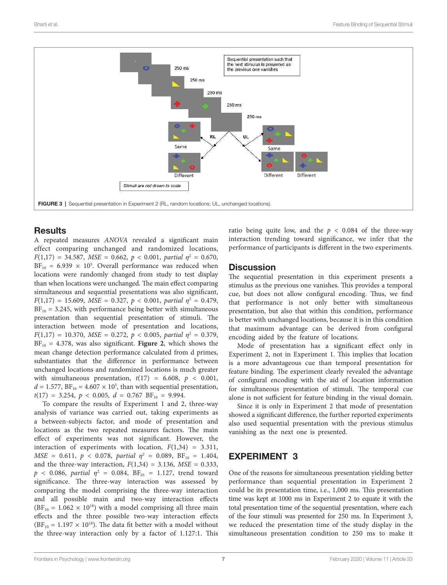

#### **Results**

A repeated measures ANOVA revealed a significant main effect comparing unchanged and randomized locations,  $F(1,17) = 34.587$ ,  $MSE = 0.662$ ,  $p < 0.001$ , partial  $\eta^2 = 0.670$ ,  $BF_{10} = 6.939 \times 10^5$ . Overall performance was reduced when locations were randomly changed from study to test display than when locations were unchanged. The main effect comparing simultaneous and sequential presentations was also significant,  $F(1,17) = 15.609$ ,  $MSE = 0.327$ ,  $p < 0.001$ , partial  $\eta^2 = 0.479$ ,  $BF_{10} = 3.245$ , with performance being better with simultaneous presentation than sequential presentation of stimuli. The interaction between mode of presentation and locations,  $F(1,17) = 10.370$ ,  $MSE = 0.272$ ,  $p < 0.005$ , partial  $\eta^2 = 0.379$ ,  $BF_{10} = 4.378$ , was also significant. **Figure 2**, which shows the mean change detection performance calculated from d primes, substantiates that the difference in performance between unchanged locations and randomized locations is much greater with simultaneous presentation,  $t(17) = 6.608$ ,  $p < 0.001$ ,  $d = 1.577$ ,  $BF_{10} = 4.607 \times 10^3$ , than with sequential presentation,  $t(17) = 3.254, p < 0.005, d = 0.767$  BF<sub>10</sub> = 9.994.

To compare the results of Experiment 1 and 2, three-way analysis of variance was carried out, taking experiments as a between-subjects factor, and mode of presentation and locations as the two repeated measures factors. The main effect of experiments was not significant. However, the interaction of experiments with location,  $F(1,34) = 3.311$ ,  $MSE = 0.611$ ,  $p < 0.078$ , partial  $\eta^2 = 0.089$ ,  $BF_{10} = 1.404$ , and the three-way interaction,  $F(1,34) = 3.136$ ,  $MSE = 0.333$ ,  $p \, < \, 0.086$ , partial  $\eta^2 = \, 0.084$ ,  $BF_{01} = \, 1.127$ , trend toward significance. The three-way interaction was assessed by comparing the model comprising the three-way interaction and all possible main and two-way interaction effects  $(BF_{10} = 1.062 \times 10^{18})$  with a model comprising all three main effects and the three possible two-way interaction effects  $(BF_{10} = 1.197 \times 10^{18})$ . The data fit better with a model without the three-way interaction only by a factor of 1.127:1. This

ratio being quite low, and the  $p < 0.084$  of the three-way interaction trending toward significance, we infer that the performance of participants is different in the two experiments.

#### **Discussion**

The sequential presentation in this experiment presents a stimulus as the previous one vanishes. This provides a temporal cue, but does not allow configural encoding. Thus, we find that performance is not only better with simultaneous presentation, but also that within this condition, performance is better with unchanged locations, because it is in this condition that maximum advantage can be derived from configural encoding aided by the feature of locations.

Mode of presentation has a significant effect only in Experiment 2, not in Experiment 1. This implies that location is a more advantageous cue than temporal presentation for feature binding. The experiment clearly revealed the advantage of configural encoding with the aid of location information for simultaneous presentation of stimuli. The temporal cue alone is not sufficient for feature binding in the visual domain.

Since it is only in Experiment 2 that mode of presentation showed a significant difference, the further reported experiments also used sequential presentation with the previous stimulus vanishing as the next one is presented.

## EXPERIMENT 3

One of the reasons for simultaneous presentation yielding better performance than sequential presentation in Experiment 2 could be its presentation time, i.e., 1,000 ms. This presentation time was kept at 1000 ms in Experiment 2 to equate it with the total presentation time of the sequential presentation, where each of the four stimuli was presented for 250 ms. In Experiment 3, we reduced the presentation time of the study display in the simultaneous presentation condition to 250 ms to make it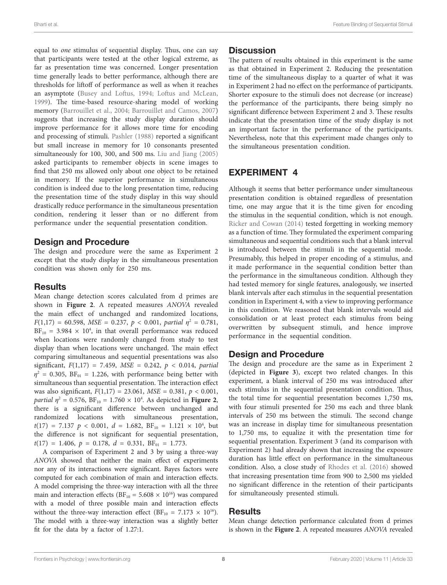equal to one stimulus of sequential display. Thus, one can say that participants were tested at the other logical extreme, as far as presentation time was concerned. Longer presentation time generally leads to better performance, although there are thresholds for liftoff of performance as well as when it reaches an asymptote (Busey and Loftus, 1994; Loftus and McLean, 1999). The time-based resource-sharing model of working memory (Barrouillet et al., 2004; Barrouillet and Camos, 2007) suggests that increasing the study display duration should improve performance for it allows more time for encoding and processing of stimuli. Pashler (1988) reported a significant but small increase in memory for 10 consonants presented simultaneously for 100, 300, and 500 ms. Liu and Jiang (2005) asked participants to remember objects in scene images to find that 250 ms allowed only about one object to be retained in memory. If the superior performance in simultaneous condition is indeed due to the long presentation time, reducing the presentation time of the study display in this way should drastically reduce performance in the simultaneous presentation condition, rendering it lesser than or no different from performance under the sequential presentation condition.

#### Design and Procedure

The design and procedure were the same as Experiment 2 except that the study display in the simultaneous presentation condition was shown only for 250 ms.

## Results

Mean change detection scores calculated from d primes are shown in **Figure 2**. A repeated measures ANOVA revealed the main effect of unchanged and randomized locations,  $F(1,17) = 60.598$ ,  $MSE = 0.237$ ,  $p < 0.001$ , partial  $\eta^2 = 0.781$ ,  $BF_{10} = 3.984 \times 10^4$ , in that overall performance was reduced when locations were randomly changed from study to test display than when locations were unchanged. The main effect comparing simultaneous and sequential presentations was also significant,  $F(1,17) = 7.459$ ,  $MSE = 0.242$ ,  $p < 0.014$ , partial  $\eta^2$  = 0.305, BF<sub>01</sub> = 1.226, with performance being better with simultaneous than sequential presentation. The interaction effect was also significant,  $F(1,17) = 23.061$ ,  $MSE = 0.381$ ,  $p < 0.001$ , *partial*  $\eta^2 = 0.576$ ,  $BF_{10} = 1.760 \times 10^4$ . As depicted in **Figure 2**, there is a significant difference between unchanged and randomized locations with simultaneous presentation,  $t(17) = 7.137$   $p < 0.001$ ,  $d = 1.682$ ,  $BF_{10} = 1.121 \times 10^4$ , but the difference is not significant for sequential presentation,  $t(17) = 1.406, p = 0.178, d = 0.331, BF_{01} = 1.773.$ 

A comparison of Experiment 2 and 3 by using a three-way ANOVA showed that neither the main effect of experiments nor any of its interactions were significant. Bayes factors were computed for each combination of main and interaction effects. A model comprising the three-way interaction with all the three main and interaction effects ( $BF_{10} = 5.608 \times 10^{16}$ ) was compared with a model of three possible main and interaction effects without the three-way interaction effect (BF<sub>10</sub> = 7.173  $\times$  10<sup>16</sup>). The model with a three-way interaction was a slightly better fit for the data by a factor of 1.27:1.

#### **Discussion**

The pattern of results obtained in this experiment is the same as that obtained in Experiment 2. Reducing the presentation time of the simultaneous display to a quarter of what it was in Experiment 2 had no effect on the performance of participants. Shorter exposure to the stimuli does not decrease (or increase) the performance of the participants, there being simply no significant difference between Experiment 2 and 3. These results indicate that the presentation time of the study display is not an important factor in the performance of the participants. Nevertheless, note that this experiment made changes only to the simultaneous presentation condition.

# EXPERIMENT 4

Although it seems that better performance under simultaneous presentation condition is obtained regardless of presentation time, one may argue that it is the time given for encoding the stimulus in the sequential condition, which is not enough. Ricker and Cowan (2014) tested forgetting in working memory as a function of time. They formulated the experiment comparing simultaneous and sequential conditions such that a blank interval is introduced between the stimuli in the sequential mode. Presumably, this helped in proper encoding of a stimulus, and it made performance in the sequential condition better than the performance in the simultaneous condition. Although they had tested memory for single features, analogously, we inserted blank intervals after each stimulus in the sequential presentation condition in Experiment 4, with a view to improving performance in this condition. We reasoned that blank intervals would aid consolidation or at least protect each stimulus from being overwritten by subsequent stimuli, and hence improve performance in the sequential condition.

## Design and Procedure

The design and procedure are the same as in Experiment 2 (depicted in **Figure 3**), except two related changes. In this experiment, a blank interval of 250 ms was introduced after each stimulus in the sequential presentation condition. Thus, the total time for sequential presentation becomes 1,750 ms, with four stimuli presented for 250 ms each and three blank intervals of 250 ms between the stimuli. The second change was an increase in display time for simultaneous presentation to 1,750 ms, to equalize it with the presentation time for sequential presentation. Experiment 3 (and its comparison with Experiment 2) had already shown that increasing the exposure duration has little effect on performance in the simultaneous condition. Also, a close study of Rhodes et al. (2016) showed that increasing presentation time from 900 to 2,500 ms yielded no significant difference in the retention of their participants for simultaneously presented stimuli.

## Results

Mean change detection performance calculated from d primes is shown in the **Figure 2**. A repeated measures ANOVA revealed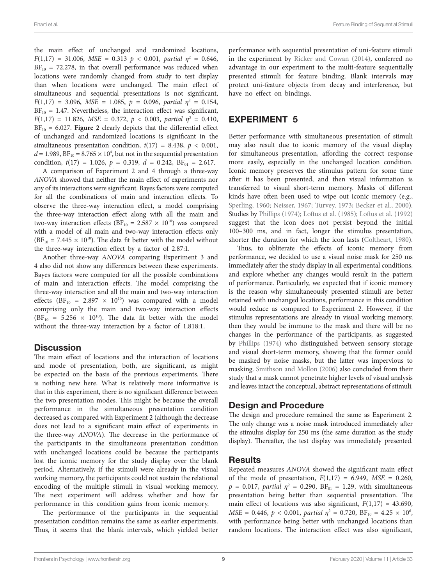the main effect of unchanged and randomized locations,  $F(1,17) = 31.006$ ,  $MSE = 0.313$   $p < 0.001$ , partial  $\eta^2 = 0.646$ ,  $BF_{10}$  = 72.278, in that overall performance was reduced when locations were randomly changed from study to test display than when locations were unchanged. The main effect of simultaneous and sequential presentations is not significant,  $F(1,17) = 3.096$ ,  $MSE = 1.085$ ,  $p = 0.096$ , partial  $\eta^2 = 0.154$ ,  $BF_{10} = 1.47$ . Nevertheless, the interaction effect was significant,  $F(1,17) = 11.826$ ,  $MSE = 0.372$ ,  $p < 0.003$ , partial  $\eta^2 = 0.410$ ,  $BF_{10} = 6.027$ . **Figure 2** clearly depicts that the differential effect of unchanged and randomized locations is significant in the simultaneous presentation condition,  $t(17) = 8.438$ ,  $p < 0.001$ ,  $d = 1.989$ ,  $BF_{10} = 8.765 \times 10^4$ , but not in the sequential presentation condition,  $t(17) = 1.026$ ,  $p = 0.319$ ,  $d = 0.242$ ,  $BF_{01} = 2.617$ .

A comparison of Experiment 2 and 4 through a three-way ANOVA showed that neither the main effect of experiments nor any of its interactions were significant. Bayes factors were computed for all the combinations of main and interaction effects. To observe the three-way interaction effect, a model comprising the three-way interaction effect along with all the main and two-way interaction effects (BF<sub>10</sub> =  $2.587 \times 10^{10}$ ) was compared with a model of all main and two-way interaction effects only ( $BF_{10} = 7.445 \times 10^{10}$ ). The data fit better with the model without the three-way interaction effect by a factor of 2.87:1.

Another three-way ANOVA comparing Experiment 3 and 4 also did not show any differences between these experiments. Bayes factors were computed for all the possible combinations of main and interaction effects. The model comprising the three-way interaction and all the main and two-way interaction effects (BF<sub>10</sub> = 2.897  $\times$  10<sup>10</sup>) was compared with a model comprising only the main and two-way interaction effects  $(BF_{10} = 5.256 \times 10^{10})$ . The data fit better with the model without the three-way interaction by a factor of 1.818:1.

# **Discussion**

The main effect of locations and the interaction of locations and mode of presentation, both, are significant, as might be expected on the basis of the previous experiments. There is nothing new here. What is relatively more informative is that in this experiment, there is no significant difference between the two presentation modes. This might be because the overall performance in the simultaneous presentation condition decreased as compared with Experiment 2 (although the decrease does not lead to a significant main effect of experiments in the three-way ANOVA). The decrease in the performance of the participants in the simultaneous presentation condition with unchanged locations could be because the participants lost the iconic memory for the study display over the blank period. Alternatively, if the stimuli were already in the visual working memory, the participants could not sustain the relational encoding of the multiple stimuli in visual working memory. The next experiment will address whether and how far performance in this condition gains from iconic memory.

The performance of the participants in the sequential presentation condition remains the same as earlier experiments. Thus, it seems that the blank intervals, which yielded better performance with sequential presentation of uni-feature stimuli in the experiment by Ricker and Cowan (2014), conferred no advantage in our experiment to the multi-feature sequentially presented stimuli for feature binding. Blank intervals may protect uni-feature objects from decay and interference, but have no effect on bindings.

# EXPERIMENT 5

Better performance with simultaneous presentation of stimuli may also result due to iconic memory of the visual display for simultaneous presentation, affording the correct response more easily, especially in the unchanged location condition. Iconic memory preserves the stimulus pattern for some time after it has been presented, and then visual information is transferred to visual short-term memory. Masks of different kinds have often been used to wipe out iconic memory (e.g., Sperling, 1960; Neisser, 1967; Turvey, 1973; Becker et al., 2000). Studies by Phillips (1974); Loftus et al. (1985); Loftus et al. (1992) suggest that the icon does not persist beyond the initial 100–300 ms, and in fact, longer the stimulus presentation, shorter the duration for which the icon lasts (Coltheart, 1980).

Thus, to obliterate the effects of iconic memory from performance, we decided to use a visual noise mask for 250 ms immediately after the study display in all experimental conditions, and explore whether any changes would result in the pattern of performance. Particularly, we expected that if iconic memory is the reason why simultaneously presented stimuli are better retained with unchanged locations, performance in this condition would reduce as compared to Experiment 2. However, if the stimulus representations are already in visual working memory, then they would be immune to the mask and there will be no changes in the performance of the participants, as suggested by Phillips (1974) who distinguished between sensory storage and visual short-term memory, showing that the former could be masked by noise masks, but the latter was impervious to masking. Smithson and Mollon (2006) also concluded from their study that a mask cannot penetrate higher levels of visual analysis and leaves intact the conceptual, abstract representations of stimuli.

# Design and Procedure

The design and procedure remained the same as Experiment 2. The only change was a noise mask introduced immediately after the stimulus display for 250 ms (the same duration as the study display). Thereafter, the test display was immediately presented.

# **Results**

Repeated measures ANOVA showed the significant main effect of the mode of presentation,  $F(1,17) = 6.949$ ,  $MSE = 0.260$ ,  $p = 0.017$ , *partial*  $\eta^2 = 0.290$ ,  $BF_{01} = 1.29$ , with simultaneous presentation being better than sequential presentation. The main effect of locations was also significant,  $F(1,17) = 43.690$ ,  $MSE = 0.446$ ,  $p < 0.001$ , partial  $\eta^2 = 0.720$ ,  $BF_{10} = 4.25 \times 10^6$ , with performance being better with unchanged locations than random locations. The interaction effect was also significant,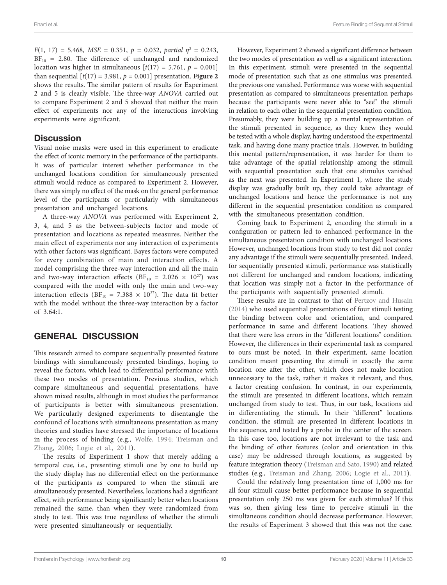$F(1, 17) = 5.468$ ,  $MSE = 0.351$ ,  $p = 0.032$ , partial  $\eta^2 = 0.243$ ,  $BF_{10}$  = 2.80. The difference of unchanged and randomized location was higher in simultaneous  $[t(17) = 5.761, p = 0.001]$ than sequential  $[t(17) = 3.981, p = 0.001]$  presentation. **Figure 2** shows the results. The similar pattern of results for Experiment 2 and 5 is clearly visible. The three-way ANOVA carried out to compare Experiment 2 and 5 showed that neither the main effect of experiments nor any of the interactions involving experiments were significant.

#### **Discussion**

Visual noise masks were used in this experiment to eradicate the effect of iconic memory in the performance of the participants. It was of particular interest whether performance in the unchanged locations condition for simultaneously presented stimuli would reduce as compared to Experiment 2. However, there was simply no effect of the mask on the general performance level of the participants or particularly with simultaneous presentation and unchanged locations.

A three-way ANOVA was performed with Experiment 2, 3, 4, and 5 as the between-subjects factor and mode of presentation and locations as repeated measures. Neither the main effect of experiments nor any interaction of experiments with other factors was significant. Bayes factors were computed for every combination of main and interaction effects. A model comprising the three-way interaction and all the main and two-way interaction effects (BF<sub>10</sub> = 2.026  $\times$  10<sup>27</sup>) was compared with the model with only the main and two-way interaction effects (BF<sub>10</sub> = 7.388  $\times$  10<sup>27</sup>). The data fit better with the model without the three-way interaction by a factor of 3.64:1.

## GENERAL DISCUSSION

This research aimed to compare sequentially presented feature bindings with simultaneously presented bindings, hoping to reveal the factors, which lead to differential performance with these two modes of presentation. Previous studies, which compare simultaneous and sequential presentations, have shown mixed results, although in most studies the performance of participants is better with simultaneous presentation. We particularly designed experiments to disentangle the confound of locations with simultaneous presentation as many theories and studies have stressed the importance of locations in the process of binding (e.g., Wolfe, 1994; Treisman and Zhang, 2006; Logie et al., 2011).

The results of Experiment 1 show that merely adding a temporal cue, i.e., presenting stimuli one by one to build up the study display has no differential effect on the performance of the participants as compared to when the stimuli are simultaneously presented. Nevertheless, locations had a significant effect, with performance being significantly better when locations remained the same, than when they were randomized from study to test. This was true regardless of whether the stimuli were presented simultaneously or sequentially.

However, Experiment 2 showed a significant difference between the two modes of presentation as well as a significant interaction. In this experiment, stimuli were presented in the sequential mode of presentation such that as one stimulus was presented, the previous one vanished. Performance was worse with sequential presentation as compared to simultaneous presentation perhaps because the participants were never able to "see" the stimuli in relation to each other in the sequential presentation condition. Presumably, they were building up a mental representation of the stimuli presented in sequence, as they knew they would be tested with a whole display, having understood the experimental task, and having done many practice trials. However, in building this mental pattern/representation, it was harder for them to take advantage of the spatial relationship among the stimuli with sequential presentation such that one stimulus vanished as the next was presented. In Experiment 1, where the study display was gradually built up, they could take advantage of unchanged locations and hence the performance is not any different in the sequential presentation condition as compared with the simultaneous presentation condition.

Coming back to Experiment 2, encoding the stimuli in a configuration or pattern led to enhanced performance in the simultaneous presentation condition with unchanged locations. However, unchanged locations from study to test did not confer any advantage if the stimuli were sequentially presented. Indeed, for sequentially presented stimuli, performance was statistically not different for unchanged and random locations, indicating that location was simply not a factor in the performance of the participants with sequentially presented stimuli.

These results are in contrast to that of Pertzov and Husain (2014) who used sequential presentations of four stimuli testing the binding between color and orientation, and compared performance in same and different locations. They showed that there were less errors in the "different locations" condition. However, the differences in their experimental task as compared to ours must be noted. In their experiment, same location condition meant presenting the stimuli in exactly the same location one after the other, which does not make location unnecessary to the task, rather it makes it relevant, and thus, a factor creating confusion. In contrast, in our experiments, the stimuli are presented in different locations, which remain unchanged from study to test. Thus, in our task, locations aid in differentiating the stimuli. In their "different" locations condition, the stimuli are presented in different locations in the sequence, and tested by a probe in the center of the screen. In this case too, locations are not irrelevant to the task and the binding of other features (color and orientation in this case) may be addressed through locations, as suggested by feature integration theory (Treisman and Sato, 1990) and related studies (e.g., Treisman and Zhang, 2006; Logie et al., 2011).

Could the relatively long presentation time of 1,000 ms for all four stimuli cause better performance because in sequential presentation only 250 ms was given for each stimulus? If this was so, then giving less time to perceive stimuli in the simultaneous condition should decrease performance. However, the results of Experiment 3 showed that this was not the case.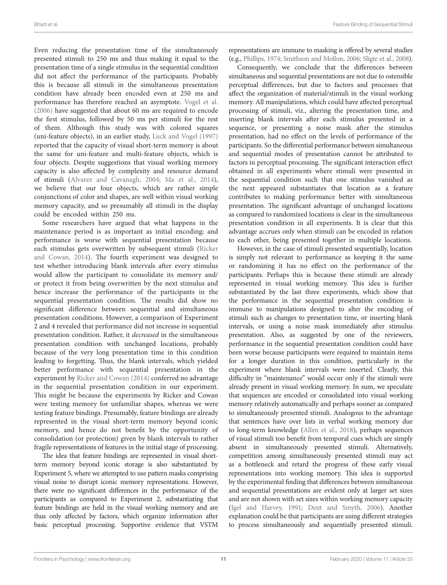Even reducing the presentation time of the simultaneously presented stimuli to 250 ms and thus making it equal to the presentation time of a single stimulus in the sequential condition did not affect the performance of the participants. Probably this is because all stimuli in the simultaneous presentation condition have already been encoded even at 250 ms and performance has therefore reached an asymptote. Vogel et al. (2006) have suggested that about 60 ms are required to encode the first stimulus, followed by 50 ms per stimuli for the rest of them. Although this study was with colored squares (uni-feature objects), in an earlier study, Luck and Vogel (1997) reported that the capacity of visual short-term memory is about the same for uni-feature and multi-feature objects, which is four objects. Despite suggestions that visual working memory capacity is also affected by complexity and resource demand of stimuli (Alvarez and Cavanagh, 2004; Ma et al., 2014), we believe that our four objects, which are rather simple conjunctions of color and shapes, are well within visual working memory capacity, and so presumably all stimuli in the display could be encoded within 250 ms.

Some researchers have argued that what happens in the maintenance period is as important as initial encoding; and performance is worse with sequential presentation because each stimulus gets overwritten by subsequent stimuli (Ricker and Cowan, 2014). The fourth experiment was designed to test whether introducing blank intervals after every stimulus would allow the participant to consolidate its memory and/ or protect it from being overwritten by the next stimulus and hence increase the performance of the participants in the sequential presentation condition. The results did show no significant difference between sequential and simultaneous presentation conditions. However, a comparison of Experiment 2 and 4 revealed that performance did not increase in sequential presentation condition. Rather, it decreased in the simultaneous presentation condition with unchanged locations, probably because of the very long presentation time in this condition leading to forgetting. Thus, the blank intervals, which yielded better performance with sequential presentation in the experiment by Ricker and Cowan (2014) conferred no advantage in the sequential presentation condition in our experiment. This might be because the experiments by Ricker and Cowan were testing memory for unfamiliar shapes, whereas we were testing feature bindings. Presumably, feature bindings are already represented in the visual short-term memory beyond iconic memory, and hence do not benefit by the opportunity of consolidation (or protection) given by blank intervals to rather fragile representations of features in the initial stage of processing.

The idea that feature bindings are represented in visual shortterm memory beyond iconic storage is also substantiated by Experiment 5, where we attempted to use pattern masks comprising visual noise to disrupt iconic memory representations. However, there were no significant differences in the performance of the participants as compared to Experiment 2, substantiating that feature bindings are held in the visual working memory and are thus only affected by factors, which organize information after basic perceptual processing. Supportive evidence that VSTM representations are immune to masking is offered by several studies (e.g., Phillips, 1974; Smithson and Mollon, 2006; Sligte et al., 2008).

Consequently, we conclude that the differences between simultaneous and sequential presentations are not due to ostensible perceptual differences, but due to factors and processes that affect the organization of material/stimuli in the visual working memory. All manipulations, which could have affected perceptual processing of stimuli, viz., altering the presentation time, and inserting blank intervals after each stimulus presented in a sequence, or presenting a noise mask after the stimulus presentation, had no effect on the levels of performance of the participants. So the differential performance between simultaneous and sequential modes of presentation cannot be attributed to factors in perceptual processing. The significant interaction effect obtained in all experiments where stimuli were presented in the sequential condition such that one stimulus vanished as the next appeared substantiates that location as a feature contributes to making performance better with simultaneous presentation. The significant advantage of unchanged locations as compared to randomized locations is clear in the simultaneous presentation condition in all experiments. It is clear that this advantage accrues only when stimuli can be encoded in relation to each other, being presented together in multiple locations.

However, in the case of stimuli presented sequentially, location is simply not relevant to performance as keeping it the same or randomizing it has no effect on the performance of the participants. Perhaps this is because these stimuli are already represented in visual working memory. This idea is further substantiated by the last three experiments, which show that the performance in the sequential presentation condition is immune to manipulations designed to alter the encoding of stimuli such as changes to presentation time, or inserting blank intervals, or using a noise mask immediately after stimulus presentation. Also, as suggested by one of the reviewers, performance in the sequential presentation condition could have been worse because participants were required to maintain items for a longer duration in this condition, particularly in the experiment where blank intervals were inserted. Clearly, this difficulty in "maintenance" would occur only if the stimuli were already present in visual working memory. In sum, we speculate that sequences are encoded or consolidated into visual working memory relatively automatically and perhaps sooner as compared to simultaneously presented stimuli. Analogous to the advantage that sentences have over lists in verbal working memory due to long-term knowledge (Allen et al., 2018), perhaps sequences of visual stimuli too benefit from temporal cues which are simply absent in simultaneously presented stimuli. Alternatively, competition among simultaneously presented stimuli may act as a bottleneck and retard the progress of these early visual representations into working memory. This idea is supported by the experimental finding that differences between simultaneous and sequential presentations are evident only at larger set sizes and are not shown with set sizes within working memory capacity (Igel and Harvey, 1991; Dent and Smyth, 2006). Another explanation could be that participants are using different strategies to process simultaneously and sequentially presented stimuli.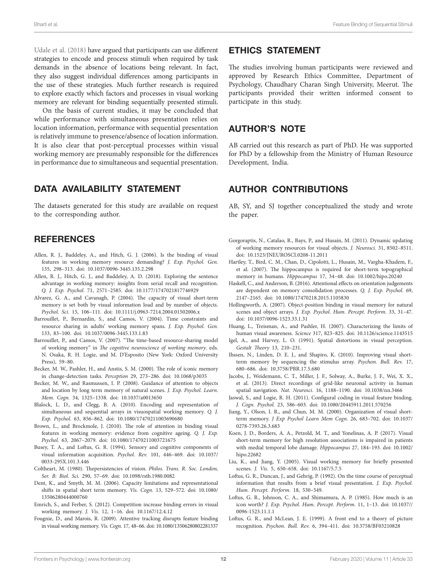Udale et al. (2018) have argued that participants can use different strategies to encode and process stimuli when required by task demands in the absence of locations being relevant. In fact, they also suggest individual differences among participants in the use of these strategies. Much further research is required to explore exactly which factors and processes in visual working memory are relevant for binding sequentially presented stimuli.

On the basis of current studies, it may be concluded that while performance with simultaneous presentation relies on location information, performance with sequential presentation is relatively immune to presence/absence of location information. It is also clear that post-perceptual processes within visual working memory are presumably responsible for the differences in performance due to simultaneous and sequential presentation.

#### DATA AVAILABILITY STATEMENT

The datasets generated for this study are available on request to the corresponding author.

## **REFERENCES**

- Allen, R. J., Baddeley, A., and Hitch, G. J. (2006). Is the binding of visual features in working memory resource demanding? J. Exp. Psychol. Gen. 135, 298–313. doi: 10.1037/0096-3445.135.2.298
- Allen, R. J., Hitch, G. J., and Baddeley, A. D. (2018). Exploring the sentence advantage in working memory: insights from serial recall and recognition. Q. J. Exp. Psychol. 71, 2571–2585. doi: 10.1177/1747021817746929
- Alvarez, G. A., and Cavanagh, P. (2004). The capacity of visual short-term memory is set both by visual information load and by number of objects. Psychol. Sci. 15, 106–111. doi: 10.1111/j.0963-7214.2004.01502006.x
- Barrouillet, P., Bernardin, S., and Camos, V. (2004). Time constraints and resource sharing in adults' working memory spans. J. Exp. Psychol. Gen. 133, 83–100. doi: 10.1037/0096-3445.133.1.83
- Barrouillet, P., and Camos, V. (2007). "The time-based resource-sharing model of working memory" in The cognitive neuroscience of working memory. eds. N. Osaka, R. H. Logie, and M. D'Esposito (New York: Oxford University Press), 59–80.
- Becker, M. W., Pashler, H., and Anstis, S. M. (2000). The role of iconic memory in change-detection tasks. Perception 29, 273–286. doi: 10.1068/p3035
- Becker, M. W., and Rasmussen, I. P. (2008). Guidance of attention to objects and location by long term memory of natural scenes. J. Exp. Psychol. Learn. Mem. Cogn. 34, 1325–1338. doi: 10.1037/a0013650
- Blalock, L. D., and Clegg, B. A. (2010). Encoding and representation of simultaneous and sequential arrays in visuospatial working memory. Q. J. Exp. Psychol. 63, 856–862. doi: 10.1080/17470211003690680
- Brown, L., and Brockmole, J. (2010). The role of attention in binding visual features in working memory: evidence from cognitive ageing. Q. J. Exp. Psychol. 63, 2067–2079. doi: 10.1080/17470211003721675
- Busey, T. A., and Loftus, G. R. (1994). Sensory and cognitive components of visual information acquisition. Psychol. Rev. 101, 446–469. doi: 10.1037/ 0033-295X.101.3.446
- Coltheart, M. (1980). Thepersistencies of vision. Philos. Trans. R. Soc. London, Ser. B: Biol. Sci. 290, 57–69. doi: 10.1098/rstb.1980.0082
- Dent, K., and Smyth, M. M. (2006). Capacity limitations and representational shifts in spatial short term memory. Vis. Cogn. 13, 529–572. doi: 10.1080/ 13506280444000760
- Emrich, S., and Ferber, S. (2012). Competition increase binding errors in visual working memory. J. Vis. 12, 1–16. doi: 10.1167/12.4.12
- Fougnie, D., and Marois, R. (2009). Attentive tracking disrupts feature binding in visual working memory. Vis. Cogn. 17, 48–66. doi: 10.1080/13506280802281337

#### ETHICS STATEMENT

The studies involving human participants were reviewed and approved by Research Ethics Committee, Department of Psychology, Chaudhary Charan Singh University, Meerut. The participants provided their written informed consent to participate in this study.

## AUTHOR'S NOTE

AB carried out this research as part of PhD. He was supported for PhD by a fellowship from the Ministry of Human Resource Development, India.

# AUTHOR CONTRIBUTIONS

AB, SY, and SJ together conceptualized the study and wrote the paper.

- Gorgoraptis, N., Catalao, R., Bays, P., and Husain, M. (2011). Dynamic updating of working memory resources for visual objects. J. Neurosci. 31, 8502–8511. doi: 10.1523/JNEUROSCI.0208-11.2011
- Hartley, T., Bird, C. M., Chan, D., Cipolotti, L., Husain, M., Vargha-Khadem, F., et al. (2007). The hippocampus is required for short-term topographical memory in humans. Hippocampus 17, 34–48. doi: 10.1002/hipo.20240
- Haskell, C., and Anderson, B. (2016). Attentional effects on orientation judgements are dependent on memory consolidation processes. Q. J. Exp. Psychol. 69, 2147–2165. doi: 10.1080/17470218.2015.1105830
- Hollingworth, A. (2007). Object-position binding in visual memory for natural scenes and object arrays. J. Exp. Psychol. Hum. Percept. Perform. 33, 31–47. doi: 10.1037/0096-1523.33.1.31
- Huang, L., Treisman, A., and Pashler, H. (2007). Characterizing the limits of human visual awareness. Science 317, 823–825. doi: 10.1126/science.1143515
- Igel, A., and Harvey, L. O. (1991). Spatial distortions in visual perception. Gestalt Theory 13, 210–231.
- Ihssen, N., Linden, D. E. J., and Shapiro, K. (2010). Improving visual shortterm memory by sequencing the stimulus array. Psychon. Bull. Rev. 17, 680–686. doi: 10.3758/PBR.17.5.680
- Jacobs, J., Weidemann, C. T., Miller, J. F., Solway, A., Burke, J. F., Wei, X. X., et al. (2013). Direct recordings of grid-like neuronal activity in human spatial navigation. Nat. Neurosci. 16, 1188–1190. doi: 10.1038/nn.3466
- Jaswal, S., and Logie, R. H. (2011). Configural coding in visual feature binding. J. Cogn. Psychol. 23, 586–603. doi: 10.1080/20445911.2011.570256
- Jiang, Y., Olson, I. R., and Chun, M. M. (2000). Organization of visual shortterm memory. J Exp Psychol Learn Mem Cogn. 26, 683–702. doi: 10.1037/ 0278-7393.26.3.683
- Koen, J. D., Borders, A. A., Petzold, M. T., and Yonelinas, A. P. (2017). Visual short-term memory for high resolution associations is impaired in patients with medial temporal lobe damage. Hippocampus 27, 184–193. doi: 10.1002/ hipo.22682
- Liu, K., and Jiang, Y. (2005). Visual working memory for briefly presented scenes. J. Vis. 5, 650–658. doi: 10.1167/5.7.5
- Loftus, G. R., Duncan, J., and Gehrig, P. (1992). On the time course of perceptual information that results from a brief visual presentation. J. Exp. Psychol. Hum. Percept. Perform. 18, 530–549.
- Loftus, G. R., Johnson, C. A., and Shimamura, A. P. (1985). How much is an icon worth? J. Exp. Psychol. Hum. Percept. Perform. 11, 1–13. doi: 10.1037// 0096-1523.11.1.1
- Loftus, G. R., and McLean, J. E. (1999). A front end to a theory of picture recognition. Psychon. Bull. Rev. 6, 394–411. doi: 10.3758/BF03210828